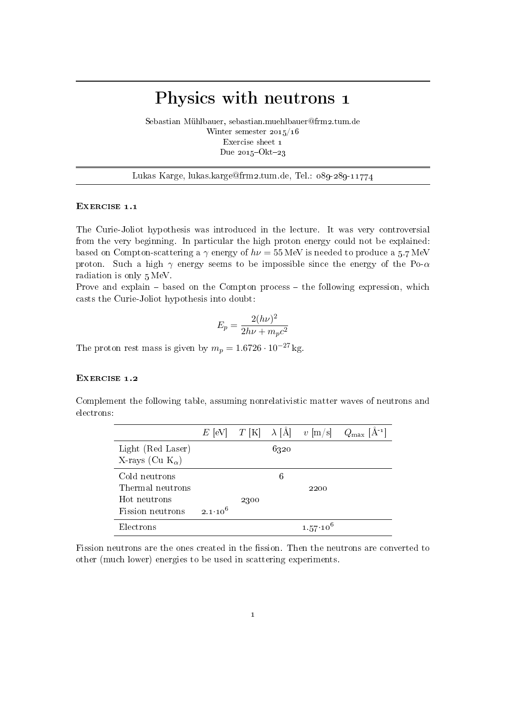# Physics with neutrons 1

Sebastian Mühlbauer, sebastian.muehlbauer@frm2.tum.de Winter semester 2015/16 Exercise sheet 1 Due  $2015$ -Okt-23

Lukas Karge, lukas.karge@frm2.tum.de, Tel.: 089-289-11774

### EXERCISE 1.1

The Curie-Joliot hypothesis was introduced in the lecture. It was very controversial from the very beginning. In particular the high proton energy could not be explained: based on Compton-scattering a  $\gamma$  energy of  $h\nu = 55 \,\text{MeV}$  is needed to produce a 5.7 MeV proton. Such a high  $\gamma$  energy seems to be impossible since the energy of the Po- $\alpha$ radiation is only 5 MeV.

Prove and explain  $-$  based on the Compton process  $-$  the following expression, which casts the Curie-Joliot hypothesis into doubt:

$$
E_p = \frac{2(h\nu)^2}{2h\nu + m_p c^2}
$$

The proton rest mass is given by  $m_p = 1.6726 \cdot 10^{-27}$  kg.

## EXERCISE 1.2

Complement the following table, assuming nonrelativistic matter waves of neutrons and electrons:

|                           |                    |      |      |                   | $E$ [eV] $T$ [K] $\lambda$ [Å] $v$ [m/s] $Q_{\text{max}}$ [Å <sup>-1</sup> ] |
|---------------------------|--------------------|------|------|-------------------|------------------------------------------------------------------------------|
| Light (Red Laser)         |                    |      | 6320 |                   |                                                                              |
| X-rays (Cu $K_{\alpha}$ ) |                    |      |      |                   |                                                                              |
| Cold neutrons             |                    |      | 6    |                   |                                                                              |
| Thermal neutrons          |                    |      |      | 2200              |                                                                              |
| Hot neutrons              |                    | 2300 |      |                   |                                                                              |
| Fission neutrons          | $2.1 \cdot 10^{6}$ |      |      |                   |                                                                              |
| Electrons                 |                    |      |      | $1.57 \cdot 10^6$ |                                                                              |

Fission neutrons are the ones created in the fission. Then the neutrons are converted to other (much lower) energies to be used in scattering experiments.